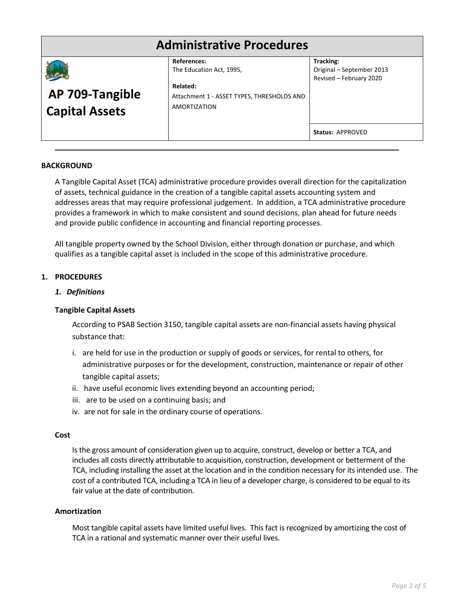# **Administrative Procedures**

|                       | <b>References:</b>                         | Tracking:                 |
|-----------------------|--------------------------------------------|---------------------------|
|                       | The Education Act, 1995,                   | Original - September 2013 |
|                       |                                            | Revised - February 2020   |
|                       | Related:                                   |                           |
| AP 709-Tangible       | Attachment 1 - ASSET TYPES, THRESHOLDS AND |                           |
| <b>Capital Assets</b> | <b>AMORTIZATION</b>                        |                           |
|                       |                                            |                           |
|                       |                                            |                           |
|                       |                                            | Status: APPROVED          |
|                       |                                            |                           |

#### **BACKGROUND**

A Tangible Capital Asset (TCA) administrative procedure provides overall direction for the capitalization of assets, technical guidance in the creation of a tangible capital assets accounting system and addresses areas that may require professional judgement. In addition, a TCA administrative procedure provides a framework in which to make consistent and sound decisions, plan ahead for future needs and provide public confidence in accounting and financial reporting processes.

All tangible property owned by the School Division, either through donation or purchase, and which qualifies as a tangible capital asset is included in the scope of this administrative procedure.

#### **1. PROCEDURES**

#### *1. Definitions*

#### **Tangible Capital Assets**

According to PSAB Section 3150, tangible capital assets are non-financial assets having physical substance that:

- i. are held for use in the production or supply of goods or services, for rental to others, for administrative purposes or for the development, construction, maintenance or repair of other tangible capital assets;
- ii. have useful economic lives extending beyond an accounting period;
- iii. are to be used on a continuing basis; and
- iv. are not for sale in the ordinary course of operations.

#### **Cost**

Is the gross amount of consideration given up to acquire, construct, develop or better a TCA, and includes all costs directly attributable to acquisition, construction, development or betterment of the TCA, including installing the asset at the location and in the condition necessary for its intended use. The cost of a contributed TCA, including a TCA in lieu of a developer charge, is considered to be equal to its fair value at the date of contribution.

#### **Amortization**

Most tangible capital assets have limited useful lives. This fact is recognized by amortizing the cost of TCA in a rational and systematic manner over their useful lives.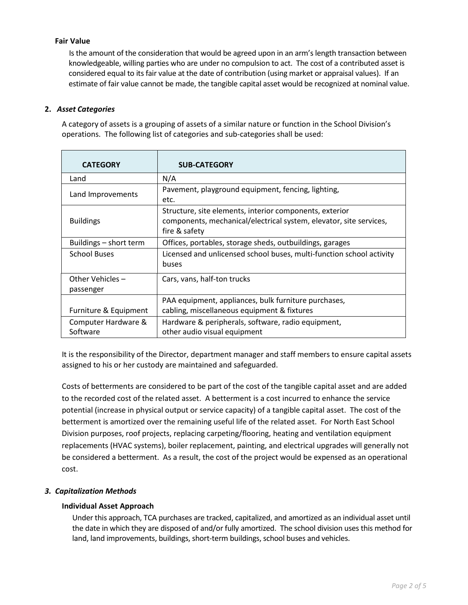### **Fair Value**

 Is the amount of the consideration that would be agreed upon in an arm's length transaction between knowledgeable, willing parties who are under no compulsion to act. The cost of a contributed asset is considered equal to its fair value at the date of contribution (using market or appraisal values). If an estimate of fair value cannot be made, the tangible capital asset would be recognized at nominal value.

# **2.** *Asset Categories*

A category of assets is a grouping of assets of a similar nature or function in the School Division's operations. The following list of categories and sub-categories shall be used:

| <b>CATEGORY</b>                 | <b>SUB-CATEGORY</b>                                                                                                                            |  |
|---------------------------------|------------------------------------------------------------------------------------------------------------------------------------------------|--|
| Land                            | N/A                                                                                                                                            |  |
| Land Improvements               | Pavement, playground equipment, fencing, lighting,<br>etc.                                                                                     |  |
| <b>Buildings</b>                | Structure, site elements, interior components, exterior<br>components, mechanical/electrical system, elevator, site services,<br>fire & safety |  |
| Buildings - short term          | Offices, portables, storage sheds, outbuildings, garages                                                                                       |  |
| <b>School Buses</b>             | Licensed and unlicensed school buses, multi-function school activity<br>buses                                                                  |  |
| Other Vehicles-<br>passenger    | Cars, vans, half-ton trucks                                                                                                                    |  |
|                                 | PAA equipment, appliances, bulk furniture purchases,                                                                                           |  |
| Furniture & Equipment           | cabling, miscellaneous equipment & fixtures                                                                                                    |  |
| Computer Hardware &<br>Software | Hardware & peripherals, software, radio equipment,<br>other audio visual equipment                                                             |  |

It is the responsibility of the Director, department manager and staff members to ensure capital assets assigned to his or her custody are maintained and safeguarded.

Costs of betterments are considered to be part of the cost of the tangible capital asset and are added to the recorded cost of the related asset. A betterment is a cost incurred to enhance the service potential (increase in physical output or service capacity) of a tangible capital asset. The cost of the betterment is amortized over the remaining useful life of the related asset. For North East School Division purposes, roof projects, replacing carpeting/flooring, heating and ventilation equipment replacements (HVAC systems), boiler replacement, painting, and electrical upgrades will generally not be considered a betterment. As a result, the cost of the project would be expensed as an operational cost.

#### *3. Capitalization Methods*

#### **Individual Asset Approach**

Under this approach, TCA purchases are tracked, capitalized, and amortized as an individual asset until the date in which they are disposed of and/or fully amortized. The school division uses this method for land, land improvements, buildings, short-term buildings, school buses and vehicles.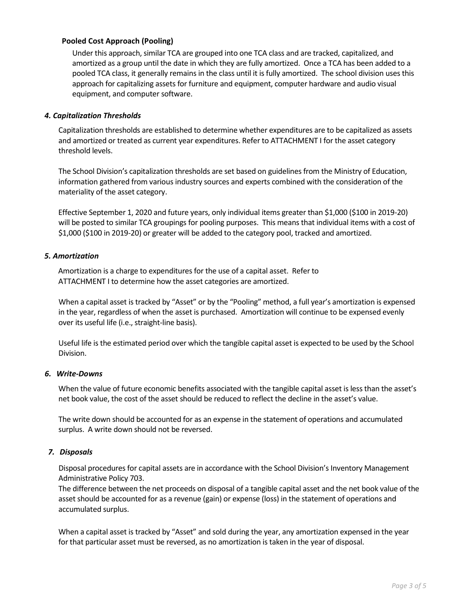### **Pooled Cost Approach (Pooling)**

Under this approach, similar TCA are grouped into one TCA class and are tracked, capitalized, and amortized as a group until the date in which they are fully amortized. Once a TCA has been added to a pooled TCA class, it generally remains in the class until it is fully amortized. The school division uses this approach for capitalizing assets for furniture and equipment, computer hardware and audio visual equipment, and computer software.

#### *4. Capitalization Thresholds*

Capitalization thresholds are established to determine whether expenditures are to be capitalized as assets and amortized or treated as current year expenditures. Refer to ATTACHMENT I for the asset category threshold levels.

The School Division's capitalization thresholds are set based on guidelines from the Ministry of Education, information gathered from various industry sources and experts combined with the consideration of the materiality of the asset category.

Effective September 1, 2020 and future years, only individual items greater than \$1,000 (\$100 in 2019-20) will be posted to similar TCA groupings for pooling purposes. This means that individual items with a cost of \$1,000 (\$100 in 2019-20) or greater will be added to the category pool, tracked and amortized.

#### *5. Amortization*

Amortization is a charge to expenditures for the use of a capital asset. Refer to ATTACHMENT I to determine how the asset categories are amortized.

When a capital asset is tracked by "Asset" or by the "Pooling" method, a full year's amortization is expensed in the year, regardless of when the asset is purchased. Amortization will continue to be expensed evenly over its useful life (i.e., straight-line basis).

Useful life is the estimated period over which the tangible capital asset is expected to be used by the School Division.

# *6. Write-Downs*

When the value of future economic benefits associated with the tangible capital asset is less than the asset's net book value, the cost of the asset should be reduced to reflect the decline in the asset's value.

The write down should be accounted for as an expense in the statement of operations and accumulated surplus. A write down should not be reversed.

#### *7. Disposals*

Disposal procedures for capital assets are in accordance with the School Division's Inventory Management Administrative Policy 703.

The difference between the net proceeds on disposal of a tangible capital asset and the net book value of the asset should be accounted for as a revenue (gain) or expense (loss) in the statement of operations and accumulated surplus.

When a capital asset is tracked by "Asset" and sold during the year, any amortization expensed in the year for that particular asset must be reversed, as no amortization is taken in the year of disposal.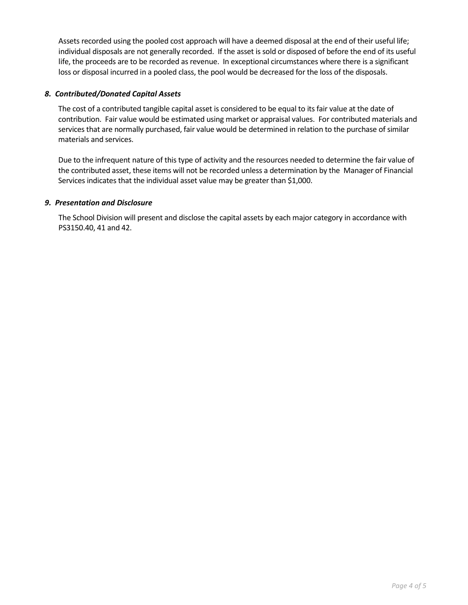Assets recorded using the pooled cost approach will have a deemed disposal at the end of their useful life; individual disposals are not generally recorded. If the asset is sold or disposed of before the end of its useful life, the proceeds are to be recorded as revenue. In exceptional circumstances where there is a significant loss or disposal incurred in a pooled class, the pool would be decreased for the loss of the disposals.

### *8. Contributed/Donated Capital Assets*

The cost of a contributed tangible capital asset is considered to be equal to its fair value at the date of contribution. Fair value would be estimated using market or appraisal values. For contributed materials and services that are normally purchased, fair value would be determined in relation to the purchase of similar materials and services.

Due to the infrequent nature of this type of activity and the resources needed to determine the fair value of the contributed asset, these items will not be recorded unless a determination by the Manager of Financial Services indicates that the individual asset value may be greater than \$1,000.

#### *9. Presentation and Disclosure*

The School Division will present and disclose the capital assets by each major category in accordance with PS3150.40, 41 and 42.